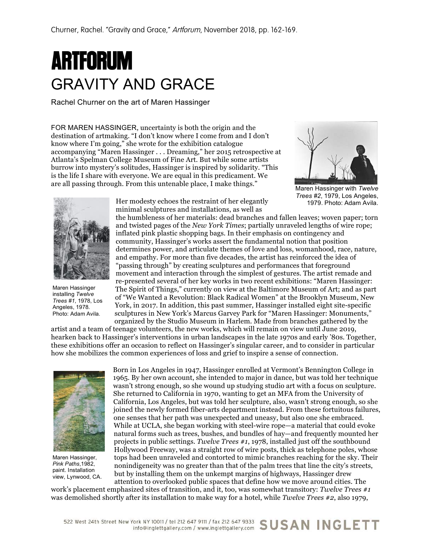# **ARTFORUM** GRAVITY AND GRACE

Rachel Churner on the art of Maren Hassinger

FOR MAREN HASSINGER, uncertainty is both the origin and the destination of artmaking. "I don't know where I come from and I don't know where I'm going," she wrote for the exhibition catalogue accompanying "Maren Hassinger . . . Dreaming," her 2015 retrospective at Atlanta's Spelman College Museum of Fine Art. But while some artists burrow into mystery's solitudes, Hassinger is inspired by solidarity. "This is the life I share with everyone. We are equal in this predicament. We are all passing through. From this untenable place, I make things."



Maren Hassinger with *Twelve Trees #2*, 1979, Los Angeles, 1979. Photo: Adam Avila.



Maren Hassinger installing *Twelve Trees #1*, 1978, Los Angeles, 1978. Photo: Adam Avila.

Her modesty echoes the restraint of her elegantly minimal sculptures and installations, as well as

the humbleness of her materials: dead branches and fallen leaves; woven paper; torn and twisted pages of the *New York Times*; partially unraveled lengths of wire rope; inflated pink plastic shopping bags. In their emphasis on contingency and community, Hassinger's works assert the fundamental notion that position determines power, and articulate themes of love and loss, womanhood, race, nature, and empathy. For more than five decades, the artist has reinforced the idea of "passing through" by creating sculptures and performances that foreground movement and interaction through the simplest of gestures. The artist remade and re-presented several of her key works in two recent exhibitions: "Maren Hassinger: The Spirit of Things," currently on view at the Baltimore Museum of Art; and as part of "We Wanted a Revolution: Black Radical Women" at the Brooklyn Museum, New York, in 2017. In addition, this past summer, Hassinger installed eight site-specific sculptures in New York's Marcus Garvey Park for "Maren Hassinger: Monuments," organized by the Studio Museum in Harlem. Made from branches gathered by the

artist and a team of teenage volunteers, the new works, which will remain on view until June 2019, hearken back to Hassinger's interventions in urban landscapes in the late 1970s and early '80s. Together, these exhibitions offer an occasion to reflect on Hassinger's singular career, and to consider in particular how she mobilizes the common experiences of loss and grief to inspire a sense of connection.



Maren Hassinger, *Pink Paths*,1982, paint. Installation view, Lynwood, CA.

Born in Los Angeles in 1947, Hassinger enrolled at Vermont's Bennington College in 1965. By her own account, she intended to major in dance, but was told her technique wasn't strong enough, so she wound up studying studio art with a focus on sculpture. She returned to California in 1970, wanting to get an MFA from the University of California, Los Angeles, but was told her sculpture, also, wasn't strong enough, so she joined the newly formed fiber-arts department instead. From these fortuitous failures, one senses that her path was unexpected and uneasy, but also one she embraced. While at UCLA, she began working with steel-wire rope—a material that could evoke natural forms such as trees, bushes, and bundles of hay—and frequently mounted her projects in public settings. *Twelve Trees #1*, 1978, installed just off the southbound Hollywood Freeway, was a straight row of wire posts, thick as telephone poles, whose tops had been unraveled and contorted to mimic branches reaching for the sky. Their nonindigeneity was no greater than that of the palm trees that line the city's streets, but by installing them on the unkempt margins of highways, Hassinger drew

attention to overlooked public spaces that define how we move around cities. The work's placement emphasized sites of transition, and it, too, was somewhat transitory: *Twelve Trees #1* was demolished shortly after its installation to make way for a hotel, while *Twelve Trees #2*, also 1979,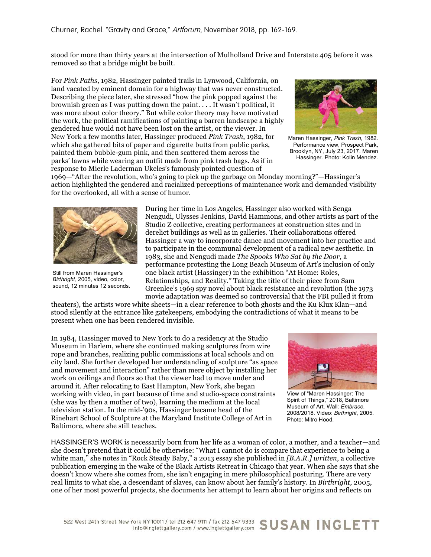stood for more than thirty years at the intersection of Mulholland Drive and Interstate 405 before it was removed so that a bridge might be built.

For *Pink Paths*, 1982, Hassinger painted trails in Lynwood, California, on land vacated by eminent domain for a highway that was never constructed. Describing the piece later, she stressed "how the pink popped against the brownish green as I was putting down the paint. . . . It wasn't political, it was more about color theory." But while color theory may have motivated the work, the political ramifications of painting a barren landscape a highly gendered hue would not have been lost on the artist, or the viewer. In New York a few months later, Hassinger produced *Pink Trash*, 1982, for which she gathered bits of paper and cigarette butts from public parks, painted them bubble-gum pink, and then scattered them across the parks' lawns while wearing an outfit made from pink trash bags. As if in response to Mierle Laderman Ukeles's famously pointed question of



Maren Hassinger, *Pink Trash*, 1982. Performance view, Prospect Park, Brooklyn, NY, July 23, 2017. Maren Hassinger. Photo: Kolin Mendez.

1969—"After the revolution, who's going to pick up the garbage on Monday morning?"—Hassinger's action highlighted the gendered and racialized perceptions of maintenance work and demanded visibility for the overlooked, all with a sense of humor.



Still from Maren Hassinger's *Birthright*, 2005, video, color, sound, 12 minutes 12 seconds.

During her time in Los Angeles, Hassinger also worked with Senga Nengudi, Ulysses Jenkins, David Hammons, and other artists as part of the Studio Z collective, creating performances at construction sites and in derelict buildings as well as in galleries. Their collaborations offered Hassinger a way to incorporate dance and movement into her practice and to participate in the communal development of a radical new aesthetic. In 1983, she and Nengudi made *The Spooks Who Sat by the Door*, a performance protesting the Long Beach Museum of Art's inclusion of only one black artist (Hassinger) in the exhibition "At Home: Roles, Relationships, and Reality." Taking the title of their piece from Sam Greenlee's 1969 spy novel about black resistance and revolution (the 1973 movie adaptation was deemed so controversial that the FBI pulled it from

theaters), the artists wore white sheets—in a clear reference to both ghosts and the Ku Klux Klan—and stood silently at the entrance like gatekeepers, embodying the contradictions of what it means to be present when one has been rendered invisible.

In 1984, Hassinger moved to New York to do a residency at the Studio Museum in Harlem, where she continued making sculptures from wire rope and branches, realizing public commissions at local schools and on city land. She further developed her understanding of sculpture "as space and movement and interaction" rather than mere object by installing her work on ceilings and floors so that the viewer had to move under and around it. After relocating to East Hampton, New York, she began working with video, in part because of time and studio-space constraints (she was by then a mother of two), learning the medium at the local television station. In the mid-'90s, Hassinger became head of the Rinehart School of Sculpture at the Maryland Institute College of Art in Baltimore, where she still teaches.



View of "Maren Hassinger: The Spirit of Things," 2018, Baltimore Museum of Art. Wall: *Embrace*, 2008/2018. Video: *Birthright*, 2005. Photo: Mitro Hood.

HASSINGER'S WORK is necessarily born from her life as a woman of color, a mother, and a teacher—and she doesn't pretend that it could be otherwise: "What I cannot do is compare that experience to being a white man," she notes in "Rock Steady Baby," a 2013 essay she published in *[B.A.R.] written*, a collective publication emerging in the wake of the Black Artists Retreat in Chicago that year. When she says that she doesn't know where she comes from, she isn't engaging in mere philosophical posturing. There are very real limits to what she, a descendant of slaves, can know about her family's history. In *Birthright*, 2005, one of her most powerful projects, she documents her attempt to learn about her origins and reflects on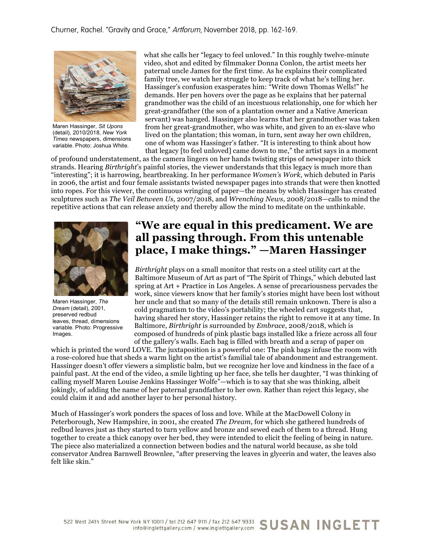Churner, Rachel. "Gravity and Grace," Artforum, November 2018, pp. 162-169.



Maren Hassinger, *Sit Upons* (detail), 2010/2018, *New York Times* newspapers, dimensions variable. Photo: Joshua White.

what she calls her "legacy to feel unloved." In this roughly twelve-minute video, shot and edited by filmmaker Donna Conlon, the artist meets her paternal uncle James for the first time. As he explains their complicated family tree, we watch her struggle to keep track of what he's telling her. Hassinger's confusion exasperates him: "Write down Thomas Wells!" he demands. Her pen hovers over the page as he explains that her paternal grandmother was the child of an incestuous relationship, one for which her great-grandfather (the son of a plantation owner and a Native American servant) was hanged. Hassinger also learns that her grandmother was taken from her great-grandmother, who was white, and given to an ex-slave who lived on the plantation; this woman, in turn, sent away her own children, one of whom was Hassinger's father. "It is interesting to think about how that legacy [to feel unloved] came down to me," the artist says in a moment

of profound understatement, as the camera lingers on her hands twisting strips of newspaper into thick strands. Hearing *Birthright*'s painful stories, the viewer understands that this legacy is much more than "interesting"; it is harrowing, heartbreaking. In her performance *Women's Work*, which debuted in Paris in 2006, the artist and four female assistants twisted newspaper pages into strands that were then knotted into ropes. For this viewer, the continuous wringing of paper—the means by which Hassinger has created sculptures such as *The Veil Between Us*, 2007/2018, and *Wrenching News*, 2008/2018—calls to mind the repetitive actions that can release anxiety and thereby allow the mind to meditate on the unthinkable.



Maren Hassinger, *The Dream* (detail), 2001, preserved redbud leaves, thread, dimensions variable. Photo: Progressive Images.

## **"We are equal in this predicament. We are all passing through. From this untenable place, I make things." —Maren Hassinger**

*Birthright* plays on a small monitor that rests on a steel utility cart at the Baltimore Museum of Art as part of "The Spirit of Things," which debuted last spring at Art + Practice in Los Angeles. A sense of precariousness pervades the work, since viewers know that her family's stories might have been lost without her uncle and that so many of the details still remain unknown. There is also a cold pragmatism to the video's portability; the wheeled cart suggests that, having shared her story, Hassinger retains the right to remove it at any time. In Baltimore, *Birthright* is surrounded by *Embrace*, 2008/2018, which is composed of hundreds of pink plastic bags installed like a frieze across all four of the gallery's walls. Each bag is filled with breath and a scrap of paper on

which is printed the word LOVE. The juxtaposition is a powerful one: The pink bags infuse the room with a rose-colored hue that sheds a warm light on the artist's familial tale of abandonment and estrangement. Hassinger doesn't offer viewers a simplistic balm, but we recognize her love and kindness in the face of a painful past. At the end of the video, a smile lighting up her face, she tells her daughter, "I was thinking of calling myself Maren Louise Jenkins Hassinger Wolfe"—which is to say that she was thinking, albeit jokingly, of adding the name of her paternal grandfather to her own. Rather than reject this legacy, she could claim it and add another layer to her personal history.

Much of Hassinger's work ponders the spaces of loss and love. While at the MacDowell Colony in Peterborough, New Hampshire, in 2001, she created *The Dream*, for which she gathered hundreds of redbud leaves just as they started to turn yellow and bronze and sewed each of them to a thread. Hung together to create a thick canopy over her bed, they were intended to elicit the feeling of being in nature. The piece also materialized a connection between bodies and the natural world because, as she told conservator Andrea Barnwell Brownlee, "after preserving the leaves in glycerin and water, the leaves also felt like skin."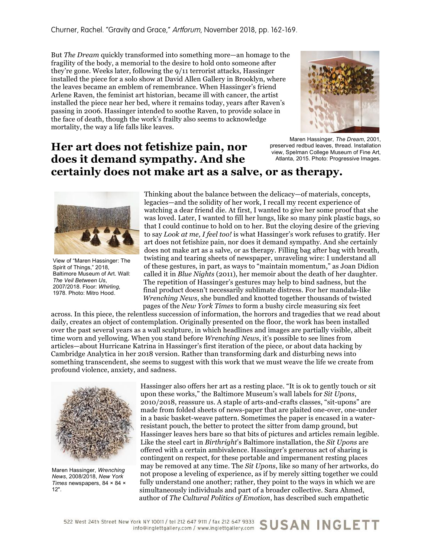But *The Dream* quickly transformed into something more—an homage to the fragility of the body, a memorial to the desire to hold onto someone after they're gone. Weeks later, following the 9/11 terrorist attacks, Hassinger installed the piece for a solo show at David Allen Gallery in Brooklyn, where the leaves became an emblem of remembrance. When Hassinger's friend Arlene Raven, the feminist art historian, became ill with cancer, the artist installed the piece near her bed, where it remains today, years after Raven's passing in 2006. Hassinger intended to soothe Raven, to provide solace in the face of death, though the work's frailty also seems to acknowledge mortality, the way a life falls like leaves.



Maren Hassinger, *The Dream*, 2001, preserved redbud leaves, thread. Installation view, Spelman College Museum of Fine Art, Atlanta, 2015. Photo: Progressive Images.

## **Her art does not fetishize pain, nor does it demand sympathy. And she certainly does not make art as a salve, or as therapy.**



View of "Maren Hassinger: The Spirit of Things," 2018, Baltimore Museum of Art. Wall: *The Veil Between Us*, 2007/2018. Floor: *Whirling*, 1978. Photo: Mitro Hood.

Thinking about the balance between the delicacy—of materials, concepts, legacies—and the solidity of her work, I recall my recent experience of watching a dear friend die. At first, I wanted to give her some proof that she was loved. Later, I wanted to fill her lungs, like so many pink plastic bags, so that I could continue to hold on to her. But the cloying desire of the grieving to say *Look at me, I feel too!* is what Hassinger's work refuses to gratify. Her art does not fetishize pain, nor does it demand sympathy. And she certainly does not make art as a salve, or as therapy. Filling bag after bag with breath, twisting and tearing sheets of newspaper, unraveling wire: I understand all of these gestures, in part, as ways to "maintain momentum," as Joan Didion called it in *Blue Nights* (2011), her memoir about the death of her daughter. The repetition of Hassinger's gestures may help to bind sadness, but the final product doesn't necessarily sublimate distress. For her mandala-like *Wrenching News*, she bundled and knotted together thousands of twisted pages of the *New York Times* to form a bushy circle measuring six feet

across. In this piece, the relentless succession of information, the horrors and tragedies that we read about daily, creates an object of contemplation. Originally presented on the floor, the work has been installed over the past several years as a wall sculpture, in which headlines and images are partially visible, albeit time worn and yellowing. When you stand before *Wrenching News*, it's possible to see lines from articles—about Hurricane Katrina in Hassinger's first iteration of the piece, or about data hacking by Cambridge Analytica in her 2018 version. Rather than transforming dark and disturbing news into something transcendent, she seems to suggest with this work that we must weave the life we create from profound violence, anxiety, and sadness.



Maren Hassinger, *Wrenching News*, 2008/2018, *New York Times* newspapers, 84 × 84 × 12".

Hassinger also offers her art as a resting place. "It is ok to gently touch or sit upon these works," the Baltimore Museum's wall labels for *Sit Upons*, 2010/2018, reassure us. A staple of arts-and-crafts classes, "sit-upons" are made from folded sheets of news-paper that are plaited one-over, one-under in a basic basket-weave pattern. Sometimes the paper is encased in a waterresistant pouch, the better to protect the sitter from damp ground, but Hassinger leaves hers bare so that bits of pictures and articles remain legible. Like the steel cart in *Birthright*'s Baltimore installation, the *Sit Upons* are offered with a certain ambivalence. Hassinger's generous act of sharing is contingent on respect, for these portable and impermanent resting places may be removed at any time. The *Sit Upons*, like so many of her artworks, do not propose a leveling of experience, as if by merely sitting together we could fully understand one another; rather, they point to the ways in which we are simultaneously individuals and part of a broader collective. Sara Ahmed, author of *The Cultural Politics of Emotion*, has described such empathetic